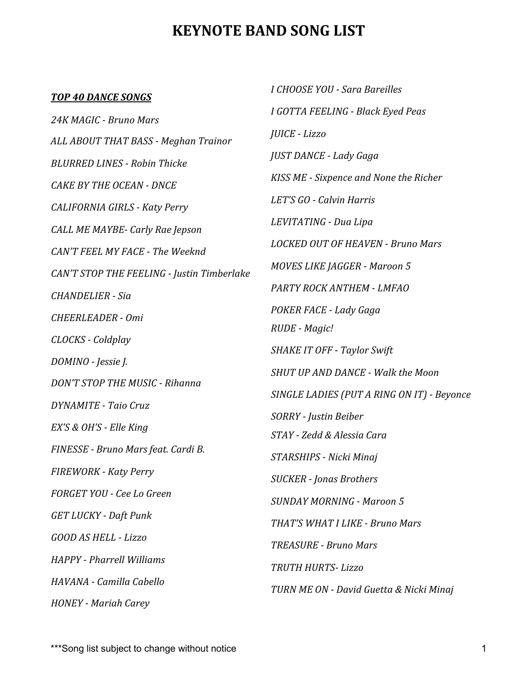# **KEYNOTE BAND SONG LIST**

## *TOP 40 DANCE SONGS*

*24K MAGIC - Bruno Mars ALL ABOUT THAT BASS - Meghan Trainor BLURRED LINES - Robin Thicke CAKE BY THE OCEAN - DNCE CALIFORNIA GIRLS - Katy Perry CALL ME MAYBE- Carly Rae Jepson CAN'T FEEL MY FACE - The Weeknd CAN'T STOP THE FEELING - Justin Timberlake CHANDELIER - Sia CHEERLEADER - Omi CLOCKS - Coldplay DOMINO - Jessie J. DON'T STOP THE MUSIC - Rihanna DYNAMITE* - Taio Cruz *EX'S & OH'S - Elle King*   $FINESSE - Bruno Mars feat. Cardi B.$ *FIREWORK - Katy Perry FORGET YOU - Cee Lo Green GET LUCKY - Daft Punk GOOD AS HELL - Lizzo HAPPY - Pharrell Williams HAVANA - Camilla Cabello HONEY - Mariah Carey* 

*I CHOOSE YOU - Sara Bareilles I GOTTA FEELING - Black Eyed Peas JUICE - Lizzo JUST DANCE - Lady Gaga KISS ME - Sixpence and None the Richer LET'S GO - Calvin Harris LEVITATING - Dua Lipa LOCKED OUT OF HEAVEN - Bruno Mars MOVES LIKE JAGGER - Maroon 5 PARTY ROCK ANTHEM - LMFAO POKER FACE - Lady Gaga RUDE - Magic!*  **SHAKE IT OFF - Taylor Swift** *SHUT UP AND DANCE - Walk the Moon SINGLE LADIES (PUT A RING ON IT) - Beyonce SORRY - Justin Beiber STAY - Zedd & Alessia Cara STARSHIPS - Nicki Minaj SUCKER - Jonas Brothers SUNDAY MORNING - Maroon 5 THAT'S WHAT I LIKE - Bruno Mars TREASURE - Bruno Mars TRUTH HURTS- Lizzo TURN ME ON - David Guetta & Nicki Minaj*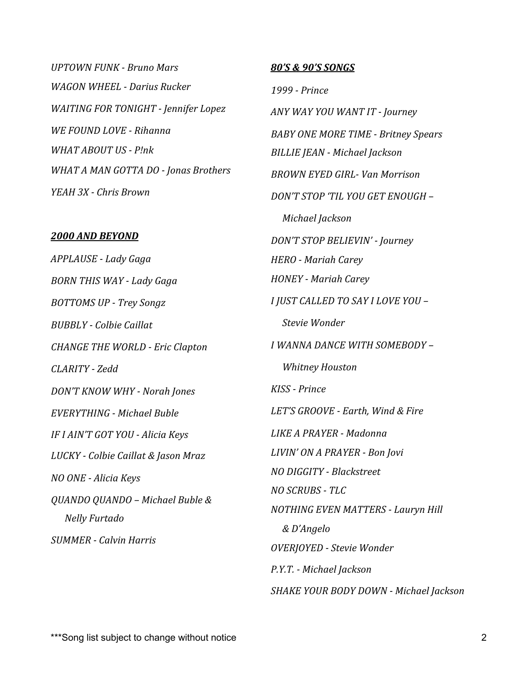*UPTOWN FUNK - Bruno Mars WAGON WHEEL - Darius Rucker WAITING FOR TONIGHT - Jennifer Lopez WE FOUND LOVE - Rihanna WHAT ABOUT US - P!nk WHAT A MAN GOTTA DO - Jonas Brothers YEAH 3X - Chris Brown* 

#### *2000 AND BEYOND*

*APPLAUSE - Lady Gaga BORN THIS WAY - Lady Gaga BOTTOMS UP - Trey Songz BUBBLY - Colbie Caillat CHANGE THE WORLD - Eric Clapton CLARITY - Zedd DON'T KNOW WHY - Norah Jones EVERYTHING - Michael Buble IF I AIN'T GOT YOU - Alicia Keys LUCKY - Colbie Caillat & Jason Mraz NO ONE - Alicia Keys QUANDO QUANDO – Michael Buble & Nelly Furtado SUMMER - Calvin Harris* 

## *80'S & 90'S SONGS*

*1999 - Prince ANY WAY YOU WANT IT - Journey BABY ONE MORE TIME - Britney Spears BILLIE JEAN - Michael Jackson BROWN EYED GIRL- Van Morrison DON'T STOP 'TIL YOU GET ENOUGH – Michael Jackson DON'T STOP BELIEVIN' - Journey HERO - Mariah Carey HONEY - Mariah Carey I JUST CALLED TO SAY I LOVE YOU –* **Stevie Wonder** *I WANNA DANCE WITH SOMEBODY –* **Whitney Houston** *KISS - Prince* LET'S GROOVE - Earth, Wind & Fire *LIKE A PRAYER - Madonna LIVIN' ON A PRAYER - Bon Jovi NO DIGGITY - Blackstreet NO SCRUBS - TLC NOTHING EVEN MATTERS - Lauryn Hill & D'Angelo OVERJOYED - Stevie Wonder P.Y.T. - Michael Jackson* 

**SHAKE YOUR BODY DOWN - Michael Jackson**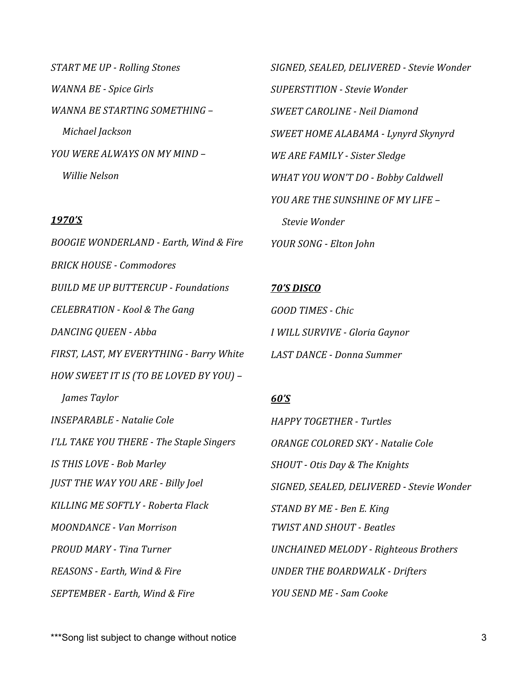*START ME UP - Rolling Stones WANNA BE - Spice Girls*  WANNA BE STARTING SOMETHING -*Michael Jackson YOU WERE ALWAYS ON MY MIND – Willie Nelson* 

# *1970'S*

*BOOGIE WONDERLAND - Earth, Wind & Fire BRICK HOUSE - Commodores BUILD ME UP BUTTERCUP - Foundations CELEBRATION - Kool & The Gang DANCING QUEEN - Abba*  FIRST, LAST, MY EVERYTHING - Barry White *HOW SWEET IT IS (TO BE LOVED BY YOU)* –  *James Taylor INSEPARABLE - Natalie Cole I'LL TAKE YOU THERE - The Staple Singers IS THIS LOVE - Bob Marley JUST THE WAY YOU ARE - Billy Joel KILLING ME SOFTLY - Roberta Flack MOONDANCE - Van Morrison PROUD MARY - Tina Turner REASONS - Earth, Wind & Fire SEPTEMBER - Earth, Wind & Fire* 

*SIGNED, SEALED, DELIVERED - Stevie Wonder SUPERSTITION - Stevie Wonder SWEET CAROLINE - Neil Diamond SWEET HOME ALABAMA - Lynyrd Skynyrd WE ARE FAMILY - Sister Sledge WHAT YOU WON'T DO - Bobby Caldwell YOU ARE THE SUNSHINE OF MY LIFE –* **Stevie** Wonder *YOUR SONG - Elton John* 

# *70'S DISCO*

*GOOD TIMES - Chic I WILL SURVIVE - Gloria Gaynor LAST DANCE - Donna Summer* 

# *60'S*

*HAPPY TOGETHER - Turtles ORANGE COLORED SKY - Natalie Cole*  **SHOUT** - Otis Day & The Knights *SIGNED, SEALED, DELIVERED - Stevie Wonder*  **STAND BY ME - Ben E. King** *TWIST AND SHOUT - Beatles UNCHAINED MELODY - Righteous Brothers UNDER THE BOARDWALK - Drifters YOU SEND ME - Sam Cooke* 

\*\*\*Song list subject to change without notice 3 3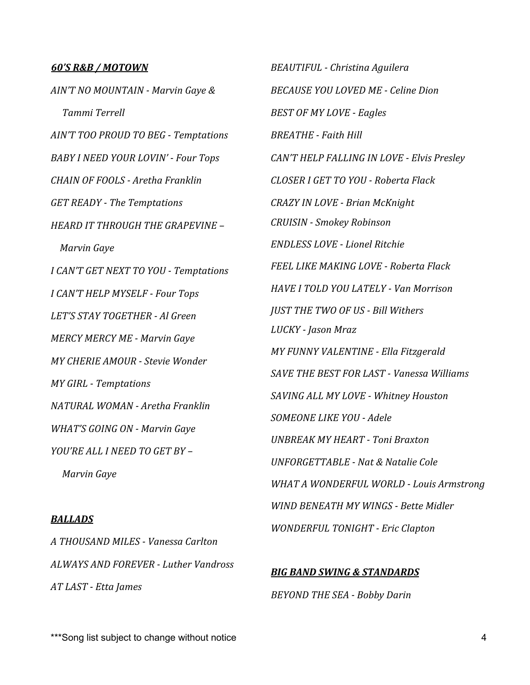#### *60'S R&B / MOTOWN*

AIN'T NO MOUNTAIN - Marvin Gaye &  *Tammi Terrell*  AIN'T TOO PROUD TO BEG - Temptations *BABY I NEED YOUR LOVIN'* - *Four Tops CHAIN OF FOOLS - Aretha Franklin GET READY - The Temptations HEARD IT THROUGH THE GRAPEVINE – Marvin Gaye I CAN'T GET NEXT TO YOU - Temptations I CAN'T HELP MYSELF - Four Tops LET'S STAY TOGETHER - Al Green MERCY MERCY ME - Marvin Gaye MY CHERIE AMOUR - Stevie Wonder MY GIRL - Temptations NATURAL WOMAN - Aretha Franklin WHAT'S GOING ON - Marvin Gaye YOU'RE ALL I NEED TO GET BY – Marvin Gaye*

# *BALLADS*

*A THOUSAND MILES - Vanessa Carlton ALWAYS AND FOREVER - Luther Vandross AT LAST - Etta James* 

*BEAUTIFUL - Christina Aguilera BECAUSE YOU LOVED ME - Celine Dion*  **BEST OF MY LOVE - Eagles BREATHE** - Faith Hill *CAN'T HELP FALLING IN LOVE - Elvis Presley CLOSER I GET TO YOU - Roberta Flack CRAZY IN LOVE - Brian McKnight CRUISIN - Smokey Robinson ENDLESS LOVE - Lionel Ritchie FEEL LIKE MAKING LOVE - Roberta Flack HAVE I TOLD YOU LATELY - Van Morrison IUST THE TWO OF US - Bill Withers LUCKY - Jason Mraz MY FUNNY VALENTINE - Ella Fitzgerald SAVE THE BEST FOR LAST - Vanessa Williams SAVING ALL MY LOVE - Whitney Houston SOMEONE LIKE YOU - Adele UNBREAK MY HEART - Toni Braxton UNFORGETTABLE - Nat & Natalie Cole WHAT A WONDERFUL WORLD - Louis Armstrong WIND BENEATH MY WINGS - Bette Midler WONDERFUL TONIGHT - Eric Clapton* 

**BIG BAND SWING & STANDARDS BEYOND THE SEA - Bobby Darin** 

\*\*\*Song list subject to change without notice 4  $4$